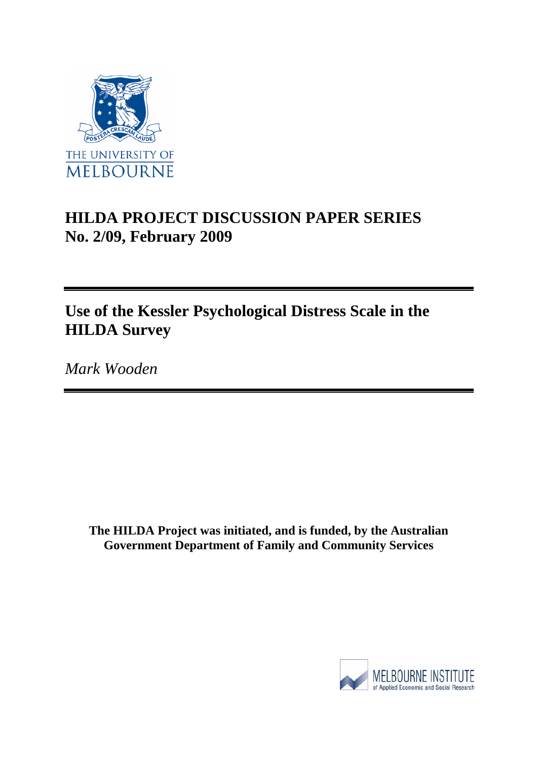

# **HILDA PROJECT DISCUSSION PAPER SERIES No. 2/09, February 2009**

# **Use of the Kessler Psychological Distress Scale in the HILDA Survey**

*Mark Wooden* 

**The HILDA Project was initiated, and is funded, by the Australian Government Department of Family and Community Services** 

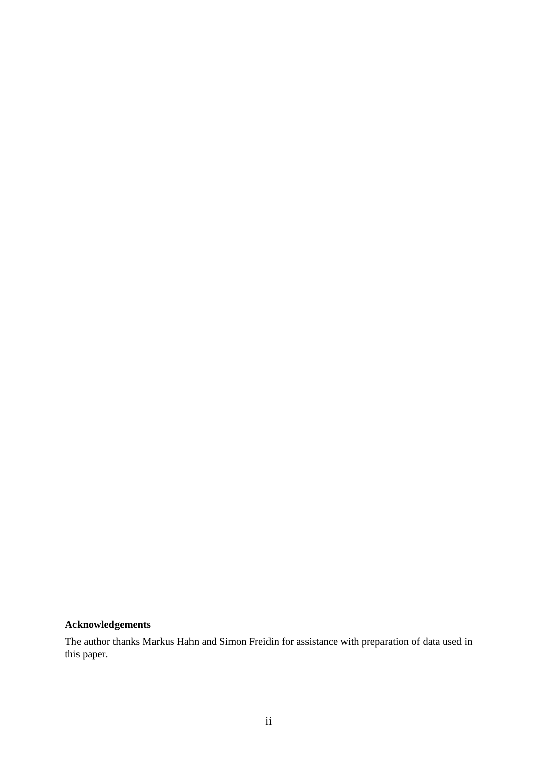## **Acknowledgements**

The author thanks Markus Hahn and Simon Freidin for assistance with preparation of data used in this paper.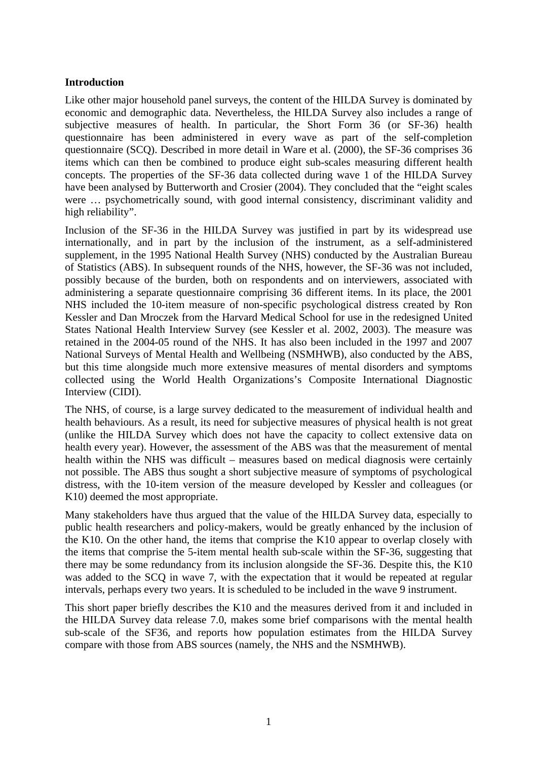## **Introduction**

Like other major household panel surveys, the content of the HILDA Survey is dominated by economic and demographic data. Nevertheless, the HILDA Survey also includes a range of subjective measures of health. In particular, the Short Form 36 (or SF-36) health questionnaire has been administered in every wave as part of the self-completion questionnaire (SCQ). Described in more detail in Ware et al. (2000), the SF-36 comprises 36 items which can then be combined to produce eight sub-scales measuring different health concepts. The properties of the SF-36 data collected during wave 1 of the HILDA Survey have been analysed by Butterworth and Crosier (2004). They concluded that the "eight scales were … psychometrically sound, with good internal consistency, discriminant validity and high reliability".

Inclusion of the SF-36 in the HILDA Survey was justified in part by its widespread use internationally, and in part by the inclusion of the instrument, as a self-administered supplement, in the 1995 National Health Survey (NHS) conducted by the Australian Bureau of Statistics (ABS). In subsequent rounds of the NHS, however, the SF-36 was not included, possibly because of the burden, both on respondents and on interviewers, associated with administering a separate questionnaire comprising 36 different items. In its place, the 2001 NHS included the 10-item measure of non-specific psychological distress created by Ron Kessler and Dan Mroczek from the Harvard Medical School for use in the redesigned United States National Health Interview Survey (see Kessler et al. 2002, 2003). The measure was retained in the 2004-05 round of the NHS. It has also been included in the 1997 and 2007 National Surveys of Mental Health and Wellbeing (NSMHWB), also conducted by the ABS, but this time alongside much more extensive measures of mental disorders and symptoms collected using the World Health Organizations's Composite International Diagnostic Interview (CIDI).

The NHS, of course, is a large survey dedicated to the measurement of individual health and health behaviours. As a result, its need for subjective measures of physical health is not great (unlike the HILDA Survey which does not have the capacity to collect extensive data on health every year). However, the assessment of the ABS was that the measurement of mental health within the NHS was difficult – measures based on medical diagnosis were certainly not possible. The ABS thus sought a short subjective measure of symptoms of psychological distress, with the 10-item version of the measure developed by Kessler and colleagues (or K10) deemed the most appropriate.

Many stakeholders have thus argued that the value of the HILDA Survey data, especially to public health researchers and policy-makers, would be greatly enhanced by the inclusion of the K10. On the other hand, the items that comprise the K10 appear to overlap closely with the items that comprise the 5-item mental health sub-scale within the SF-36, suggesting that there may be some redundancy from its inclusion alongside the SF-36. Despite this, the K10 was added to the SCQ in wave 7, with the expectation that it would be repeated at regular intervals, perhaps every two years. It is scheduled to be included in the wave 9 instrument.

This short paper briefly describes the K10 and the measures derived from it and included in the HILDA Survey data release 7.0, makes some brief comparisons with the mental health sub-scale of the SF36, and reports how population estimates from the HILDA Survey compare with those from ABS sources (namely, the NHS and the NSMHWB).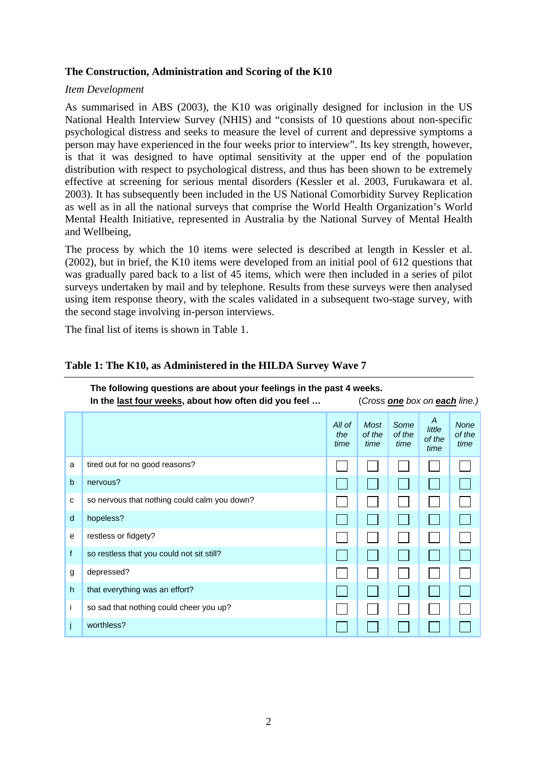## **The Construction, Administration and Scoring of the K10**

#### *Item Development*

As summarised in ABS (2003), the K10 was originally designed for inclusion in the US National Health Interview Survey (NHIS) and "consists of 10 questions about non-specific psychological distress and seeks to measure the level of current and depressive symptoms a person may have experienced in the four weeks prior to interview". Its key strength, however, is that it was designed to have optimal sensitivity at the upper end of the population distribution with respect to psychological distress, and thus has been shown to be extremely effective at screening for serious mental disorders (Kessler et al. 2003, Furukawara et al. 2003). It has subsequently been included in the US National Comorbidity Survey Replication as well as in all the national surveys that comprise the World Health Organization's World Mental Health Initiative, represented in Australia by the National Survey of Mental Health and Wellbeing,

The process by which the 10 items were selected is described at length in Kessler et al. (2002), but in brief, the K10 items were developed from an initial pool of 612 questions that was gradually pared back to a list of 45 items, which were then included in a series of pilot surveys undertaken by mail and by telephone. Results from these surveys were then analysed using item response theory, with the scales validated in a subsequent two-stage survey, with the second stage involving in-person interviews.

The final list of items is shown in Table 1.

|             | The following questions are about your feelings in the past 4 weeks.<br>In the last four weeks, about how often did you feel<br>(Cross one box on each line.) |                       |                        |                        |                               |                               |
|-------------|---------------------------------------------------------------------------------------------------------------------------------------------------------------|-----------------------|------------------------|------------------------|-------------------------------|-------------------------------|
|             |                                                                                                                                                               | All of<br>the<br>time | Most<br>of the<br>time | Some<br>of the<br>time | A<br>little<br>of the<br>time | <b>None</b><br>of the<br>time |
| a           | tired out for no good reasons?                                                                                                                                |                       |                        |                        |                               |                               |
| $\mathbf b$ | nervous?                                                                                                                                                      |                       |                        |                        |                               |                               |
| c           | so nervous that nothing could calm you down?                                                                                                                  |                       |                        |                        |                               |                               |
| d           | hopeless?                                                                                                                                                     |                       |                        |                        |                               |                               |
| e           | restless or fidgety?                                                                                                                                          |                       |                        |                        |                               |                               |
| f           | so restless that you could not sit still?                                                                                                                     |                       |                        |                        |                               |                               |
| g           | depressed?                                                                                                                                                    |                       |                        |                        |                               |                               |
| h.          | that everything was an effort?                                                                                                                                |                       |                        |                        |                               |                               |
| i           | so sad that nothing could cheer you up?                                                                                                                       |                       |                        |                        |                               |                               |
|             | worthless?                                                                                                                                                    |                       |                        |                        |                               |                               |

## **Table 1: The K10, as Administered in the HILDA Survey Wave 7**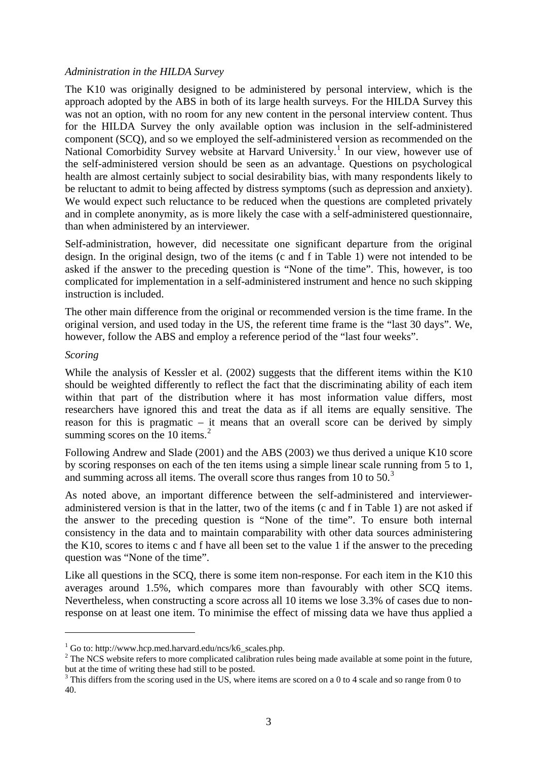#### <span id="page-4-0"></span>*Administration in the HILDA Survey*

The K10 was originally designed to be administered by personal interview, which is the approach adopted by the ABS in both of its large health surveys. For the HILDA Survey this was not an option, with no room for any new content in the personal interview content. Thus for the HILDA Survey the only available option was inclusion in the self-administered component (SCQ), and so we employed the self-administered version as recommended on the National Comorbidity Survey website at Harvard University.<sup>[1](#page-4-0)</sup> In our view, however use of the self-administered version should be seen as an advantage. Questions on psychological health are almost certainly subject to social desirability bias, with many respondents likely to be reluctant to admit to being affected by distress symptoms (such as depression and anxiety). We would expect such reluctance to be reduced when the questions are completed privately and in complete anonymity, as is more likely the case with a self-administered questionnaire, than when administered by an interviewer.

Self-administration, however, did necessitate one significant departure from the original design. In the original design, two of the items (c and f in Table 1) were not intended to be asked if the answer to the preceding question is "None of the time". This, however, is too complicated for implementation in a self-administered instrument and hence no such skipping instruction is included.

The other main difference from the original or recommended version is the time frame. In the original version, and used today in the US, the referent time frame is the "last 30 days". We, however, follow the ABS and employ a reference period of the "last four weeks".

#### *Scoring*

 $\overline{a}$ 

While the analysis of Kessler et al. (2002) suggests that the different items within the K10 should be weighted differently to reflect the fact that the discriminating ability of each item within that part of the distribution where it has most information value differs, most researchers have ignored this and treat the data as if all items are equally sensitive. The reason for this is pragmatic – it means that an overall score can be derived by simply summing scores on the 10 items.<sup>[2](#page-4-0)</sup>

Following Andrew and Slade (2001) and the ABS (2003) we thus derived a unique K10 score by scoring responses on each of the ten items using a simple linear scale running from 5 to 1, and summing across all items. The overall score thus ranges from 10 to  $50<sup>3</sup>$  $50<sup>3</sup>$  $50<sup>3</sup>$ 

As noted above, an important difference between the self-administered and intervieweradministered version is that in the latter, two of the items (c and f in Table 1) are not asked if the answer to the preceding question is "None of the time". To ensure both internal consistency in the data and to maintain comparability with other data sources administering the K10, scores to items c and f have all been set to the value 1 if the answer to the preceding question was "None of the time".

Like all questions in the SCQ, there is some item non-response. For each item in the K10 this averages around 1.5%, which compares more than favourably with other SCQ items. Nevertheless, when constructing a score across all 10 items we lose 3.3% of cases due to nonresponse on at least one item. To minimise the effect of missing data we have thus applied a

<sup>&</sup>lt;sup>1</sup> Go to: http://www.hcp.med.harvard.edu/ncs/k6\_scales.php.

 $2^2$  The NCS website refers to more complicated calibration rules being made available at some point in the future, but at the time of writing these had still to be posted.

 $3$  This differs from the scoring used in the US, where items are scored on a 0 to 4 scale and so range from 0 to 40.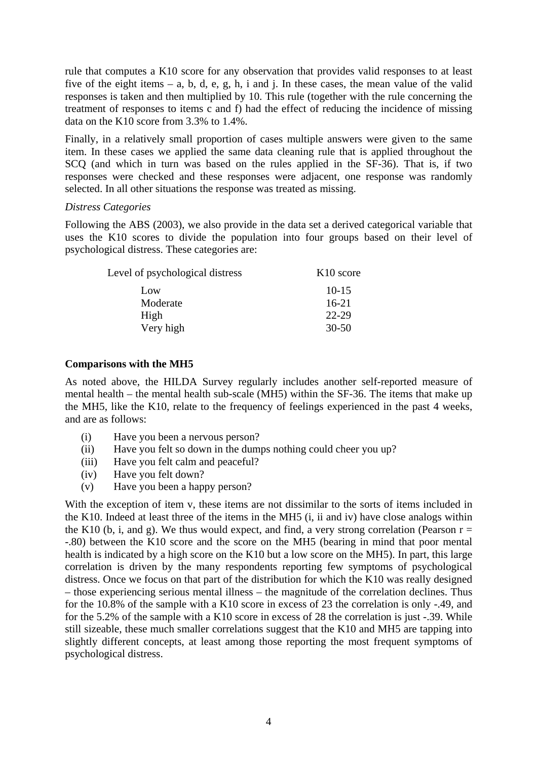rule that computes a K10 score for any observation that provides valid responses to at least five of the eight items – a, b, d, e, g, h, i and j. In these cases, the mean value of the valid responses is taken and then multiplied by 10. This rule (together with the rule concerning the treatment of responses to items c and f) had the effect of reducing the incidence of missing data on the K10 score from 3.3% to 1.4%.

Finally, in a relatively small proportion of cases multiple answers were given to the same item. In these cases we applied the same data cleaning rule that is applied throughout the SCQ (and which in turn was based on the rules applied in the SF-36). That is, if two responses were checked and these responses were adjacent, one response was randomly selected. In all other situations the response was treated as missing.

### *Distress Categories*

Following the ABS (2003), we also provide in the data set a derived categorical variable that uses the K10 scores to divide the population into four groups based on their level of psychological distress. These categories are:

| Level of psychological distress | K <sub>10</sub> score |
|---------------------------------|-----------------------|
| Low                             | $10 - 15$             |
| Moderate                        | $16-21$               |
| High                            | 22-29                 |
| Very high                       | $30 - 50$             |

#### **Comparisons with the MH5**

As noted above, the HILDA Survey regularly includes another self-reported measure of mental health – the mental health sub-scale (MH5) within the SF-36. The items that make up the MH5, like the K10, relate to the frequency of feelings experienced in the past 4 weeks, and are as follows:

- (i) Have you been a nervous person?
- (ii) Have you felt so down in the dumps nothing could cheer you up?
- (iii) Have you felt calm and peaceful?
- (iv) Have you felt down?
- (v) Have you been a happy person?

With the exception of item v, these items are not dissimilar to the sorts of items included in the K10. Indeed at least three of the items in the MH5 (i, ii and iv) have close analogs within the K10 (b, i, and g). We thus would expect, and find, a very strong correlation (Pearson  $r =$ -.80) between the K10 score and the score on the MH5 (bearing in mind that poor mental health is indicated by a high score on the K10 but a low score on the MH5). In part, this large correlation is driven by the many respondents reporting few symptoms of psychological distress. Once we focus on that part of the distribution for which the K10 was really designed – those experiencing serious mental illness – the magnitude of the correlation declines. Thus for the 10.8% of the sample with a K10 score in excess of 23 the correlation is only -.49, and for the 5.2% of the sample with a K10 score in excess of 28 the correlation is just -.39. While still sizeable, these much smaller correlations suggest that the K10 and MH5 are tapping into slightly different concepts, at least among those reporting the most frequent symptoms of psychological distress.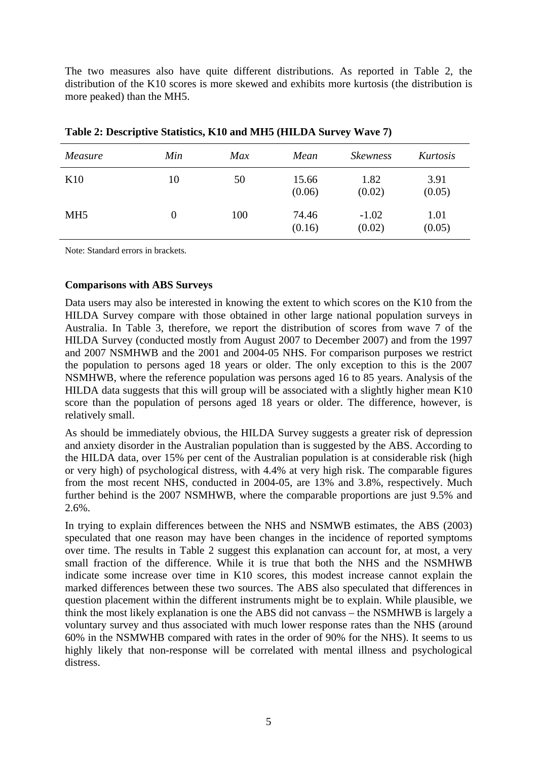The two measures also have quite different distributions. As reported in Table 2, the distribution of the K10 scores is more skewed and exhibits more kurtosis (the distribution is more peaked) than the MH5.

| Measure         | Min              | Max | Mean            | <i><b>Skewness</b></i> | Kurtosis       |
|-----------------|------------------|-----|-----------------|------------------------|----------------|
| K <sub>10</sub> | 10               | 50  | 15.66<br>(0.06) | 1.82<br>(0.02)         | 3.91<br>(0.05) |
| MH <sub>5</sub> | $\boldsymbol{0}$ | 100 | 74.46<br>(0.16) | $-1.02$<br>(0.02)      | 1.01<br>(0.05) |

**Table 2: Descriptive Statistics, K10 and MH5 (HILDA Survey Wave 7)** 

Note: Standard errors in brackets.

#### **Comparisons with ABS Surveys**

Data users may also be interested in knowing the extent to which scores on the K10 from the HILDA Survey compare with those obtained in other large national population surveys in Australia. In Table 3, therefore, we report the distribution of scores from wave 7 of the HILDA Survey (conducted mostly from August 2007 to December 2007) and from the 1997 and 2007 NSMHWB and the 2001 and 2004-05 NHS. For comparison purposes we restrict the population to persons aged 18 years or older. The only exception to this is the 2007 NSMHWB, where the reference population was persons aged 16 to 85 years. Analysis of the HILDA data suggests that this will group will be associated with a slightly higher mean K10 score than the population of persons aged 18 years or older. The difference, however, is relatively small.

As should be immediately obvious, the HILDA Survey suggests a greater risk of depression and anxiety disorder in the Australian population than is suggested by the ABS. According to the HILDA data, over 15% per cent of the Australian population is at considerable risk (high or very high) of psychological distress, with 4.4% at very high risk. The comparable figures from the most recent NHS, conducted in 2004-05, are 13% and 3.8%, respectively. Much further behind is the 2007 NSMHWB, where the comparable proportions are just 9.5% and 2.6%.

In trying to explain differences between the NHS and NSMWB estimates, the ABS (2003) speculated that one reason may have been changes in the incidence of reported symptoms over time. The results in Table 2 suggest this explanation can account for, at most, a very small fraction of the difference. While it is true that both the NHS and the NSMHWB indicate some increase over time in K10 scores, this modest increase cannot explain the marked differences between these two sources. The ABS also speculated that differences in question placement within the different instruments might be to explain. While plausible, we think the most likely explanation is one the ABS did not canvass – the NSMHWB is largely a voluntary survey and thus associated with much lower response rates than the NHS (around 60% in the NSMWHB compared with rates in the order of 90% for the NHS). It seems to us highly likely that non-response will be correlated with mental illness and psychological distress.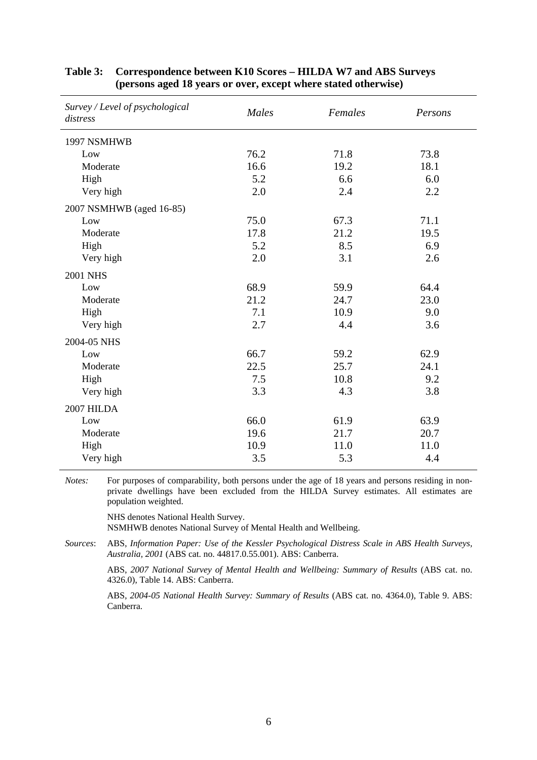| Survey / Level of psychological<br>distress | <b>Males</b> | Females | Persons |  |
|---------------------------------------------|--------------|---------|---------|--|
| 1997 NSMHWB                                 |              |         |         |  |
| Low                                         | 76.2         | 71.8    | 73.8    |  |
| Moderate                                    | 16.6         | 19.2    | 18.1    |  |
| High                                        | 5.2          | 6.6     | 6.0     |  |
| Very high                                   | 2.0          | 2.4     | 2.2     |  |
| 2007 NSMHWB (aged 16-85)                    |              |         |         |  |
| Low                                         | 75.0         | 67.3    | 71.1    |  |
| Moderate                                    | 17.8         | 21.2    | 19.5    |  |
| High                                        | 5.2          | 8.5     | 6.9     |  |
| Very high                                   | 2.0          | 3.1     | 2.6     |  |
| <b>2001 NHS</b>                             |              |         |         |  |
| Low                                         | 68.9         | 59.9    | 64.4    |  |
| Moderate                                    | 21.2         | 24.7    | 23.0    |  |
| High                                        | 7.1          | 10.9    | 9.0     |  |
| Very high                                   | 2.7          | 4.4     | 3.6     |  |
| 2004-05 NHS                                 |              |         |         |  |
| Low                                         | 66.7         | 59.2    | 62.9    |  |
| Moderate                                    | 22.5         | 25.7    | 24.1    |  |
| High                                        | 7.5          | 10.8    | 9.2     |  |
| Very high                                   | 3.3          | 4.3     | 3.8     |  |
| 2007 HILDA                                  |              |         |         |  |
| Low                                         | 66.0         | 61.9    | 63.9    |  |
| Moderate                                    | 19.6         | 21.7    | 20.7    |  |
| High                                        | 10.9         | 11.0    | 11.0    |  |
| Very high                                   | 3.5          | 5.3     | 4.4     |  |

#### **Table 3: Correspondence between K10 Scores – HILDA W7 and ABS Surveys (persons aged 18 years or over, except where stated otherwise)**

*Notes:* For purposes of comparability, both persons under the age of 18 years and persons residing in nonprivate dwellings have been excluded from the HILDA Survey estimates. All estimates are population weighted.

> NHS denotes National Health Survey. NSMHWB denotes National Survey of Mental Health and Wellbeing.

*Sources*: ABS, *Information Paper: Use of the Kessler Psychological Distress Scale in ABS Health Surveys, Australia, 2001* (ABS cat. no. 44817.0.55.001). ABS: Canberra.

ABS, *2007 National Survey of Mental Health and Wellbeing: Summary of Results* (ABS cat. no. 4326.0), Table 14. ABS: Canberra.

ABS, *2004-05 National Health Survey: Summary of Results* (ABS cat. no. 4364.0), Table 9. ABS: Canberra.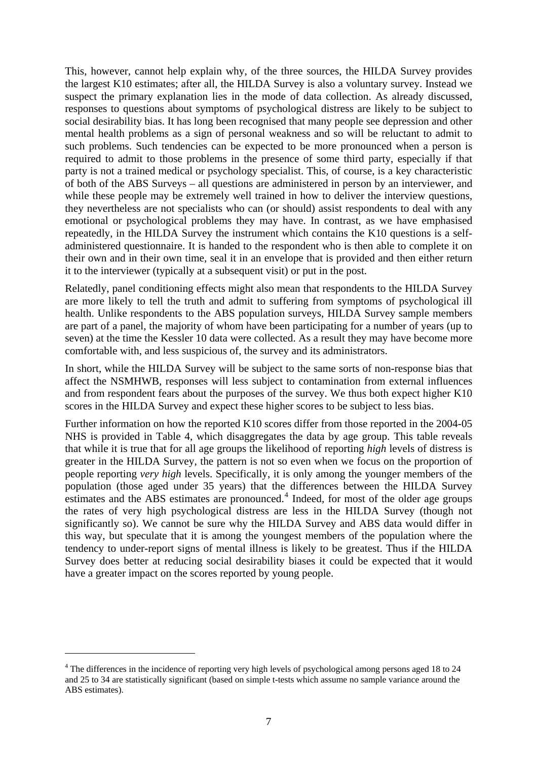<span id="page-8-0"></span>This, however, cannot help explain why, of the three sources, the HILDA Survey provides the largest K10 estimates; after all, the HILDA Survey is also a voluntary survey. Instead we suspect the primary explanation lies in the mode of data collection. As already discussed, responses to questions about symptoms of psychological distress are likely to be subject to social desirability bias. It has long been recognised that many people see depression and other mental health problems as a sign of personal weakness and so will be reluctant to admit to such problems. Such tendencies can be expected to be more pronounced when a person is required to admit to those problems in the presence of some third party, especially if that party is not a trained medical or psychology specialist. This, of course, is a key characteristic of both of the ABS Surveys – all questions are administered in person by an interviewer, and while these people may be extremely well trained in how to deliver the interview questions, they nevertheless are not specialists who can (or should) assist respondents to deal with any emotional or psychological problems they may have. In contrast, as we have emphasised repeatedly, in the HILDA Survey the instrument which contains the K10 questions is a selfadministered questionnaire. It is handed to the respondent who is then able to complete it on their own and in their own time, seal it in an envelope that is provided and then either return it to the interviewer (typically at a subsequent visit) or put in the post.

Relatedly, panel conditioning effects might also mean that respondents to the HILDA Survey are more likely to tell the truth and admit to suffering from symptoms of psychological ill health. Unlike respondents to the ABS population surveys, HILDA Survey sample members are part of a panel, the majority of whom have been participating for a number of years (up to seven) at the time the Kessler 10 data were collected. As a result they may have become more comfortable with, and less suspicious of, the survey and its administrators.

In short, while the HILDA Survey will be subject to the same sorts of non-response bias that affect the NSMHWB, responses will less subject to contamination from external influences and from respondent fears about the purposes of the survey. We thus both expect higher K10 scores in the HILDA Survey and expect these higher scores to be subject to less bias.

Further information on how the reported K10 scores differ from those reported in the 2004-05 NHS is provided in Table 4, which disaggregates the data by age group. This table reveals that while it is true that for all age groups the likelihood of reporting *high* levels of distress is greater in the HILDA Survey, the pattern is not so even when we focus on the proportion of people reporting *very high* levels. Specifically, it is only among the younger members of the population (those aged under 35 years) that the differences between the HILDA Survey estimates and the ABS estimates are pronounced.<sup>[4](#page-8-0)</sup> Indeed, for most of the older age groups the rates of very high psychological distress are less in the HILDA Survey (though not significantly so). We cannot be sure why the HILDA Survey and ABS data would differ in this way, but speculate that it is among the youngest members of the population where the tendency to under-report signs of mental illness is likely to be greatest. Thus if the HILDA Survey does better at reducing social desirability biases it could be expected that it would have a greater impact on the scores reported by young people.

 $\overline{a}$ 

<sup>&</sup>lt;sup>4</sup> The differences in the incidence of reporting very high levels of psychological among persons aged 18 to 24 and 25 to 34 are statistically significant (based on simple t-tests which assume no sample variance around the ABS estimates).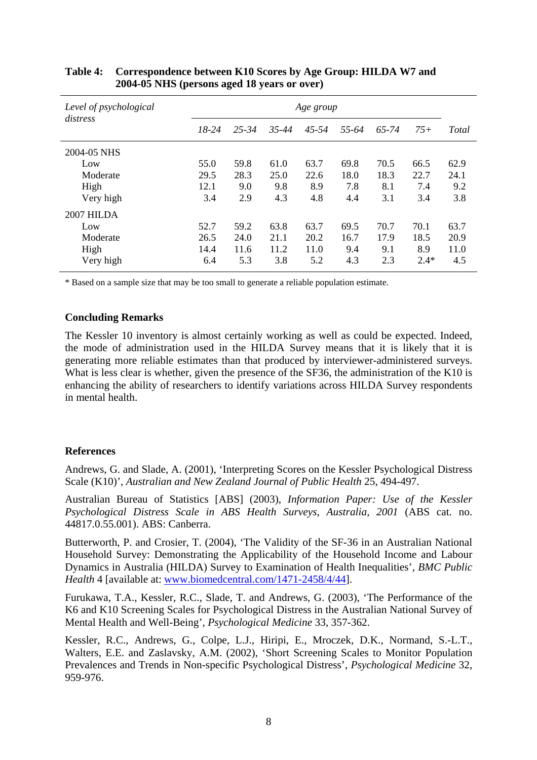| Level of psychological<br>distress | Age group |           |           |       |       |       |        |              |
|------------------------------------|-----------|-----------|-----------|-------|-------|-------|--------|--------------|
|                                    | $18-24$   | $25 - 34$ | $35 - 44$ | 45-54 | 55-64 | 65-74 | $75+$  | <b>Total</b> |
| 2004-05 NHS                        |           |           |           |       |       |       |        |              |
| Low                                | 55.0      | 59.8      | 61.0      | 63.7  | 69.8  | 70.5  | 66.5   | 62.9         |
| Moderate                           | 29.5      | 28.3      | 25.0      | 22.6  | 18.0  | 18.3  | 22.7   | 24.1         |
| High                               | 12.1      | 9.0       | 9.8       | 8.9   | 7.8   | 8.1   | 7.4    | 9.2          |
| Very high                          | 3.4       | 2.9       | 4.3       | 4.8   | 4.4   | 3.1   | 3.4    | 3.8          |
| 2007 HILDA                         |           |           |           |       |       |       |        |              |
| Low                                | 52.7      | 59.2      | 63.8      | 63.7  | 69.5  | 70.7  | 70.1   | 63.7         |
| Moderate                           | 26.5      | 24.0      | 21.1      | 20.2  | 16.7  | 17.9  | 18.5   | 20.9         |
| High                               | 14.4      | 11.6      | 11.2      | 11.0  | 9.4   | 9.1   | 8.9    | 11.0         |
| Very high                          | 6.4       | 5.3       | 3.8       | 5.2   | 4.3   | 2.3   | $2.4*$ | 4.5          |

## **Table 4: Correspondence between K10 Scores by Age Group: HILDA W7 and 2004-05 NHS (persons aged 18 years or over)**

\* Based on a sample size that may be too small to generate a reliable population estimate.

#### **Concluding Remarks**

The Kessler 10 inventory is almost certainly working as well as could be expected. Indeed, the mode of administration used in the HILDA Survey means that it is likely that it is generating more reliable estimates than that produced by interviewer-administered surveys. What is less clear is whether, given the presence of the SF36, the administration of the K10 is enhancing the ability of researchers to identify variations across HILDA Survey respondents in mental health.

## **References**

Andrews, G. and Slade, A. (2001), 'Interpreting Scores on the Kessler Psychological Distress Scale (K10)', *Australian and New Zealand Journal of Public Health* 25, 494-497.

Australian Bureau of Statistics [ABS] (2003), *Information Paper: Use of the Kessler Psychological Distress Scale in ABS Health Surveys, Australia, 2001* (ABS cat. no. 44817.0.55.001). ABS: Canberra.

Butterworth, P. and Crosier, T. (2004), 'The Validity of the SF-36 in an Australian National Household Survey: Demonstrating the Applicability of the Household Income and Labour Dynamics in Australia (HILDA) Survey to Examination of Health Inequalities', *BMC Public Health* 4 [available at: [www.biomedcentral.com/1471-2458/4/44](http://www.biomedcentral.com/1471-2458/4/44)].

Furukawa, T.A., Kessler, R.C., Slade, T. and Andrews, G. (2003), 'The Performance of the K6 and K10 Screening Scales for Psychological Distress in the Australian National Survey of Mental Health and Well-Being', *Psychological Medicine* 33, 357-362.

Kessler, R.C., Andrews, G., Colpe, L.J., Hiripi, E., Mroczek, D.K., Normand, S.-L.T., Walters, E.E. and Zaslavsky, A.M. (2002), 'Short Screening Scales to Monitor Population Prevalences and Trends in Non-specific Psychological Distress', *Psychological Medicine* 32, 959-976.